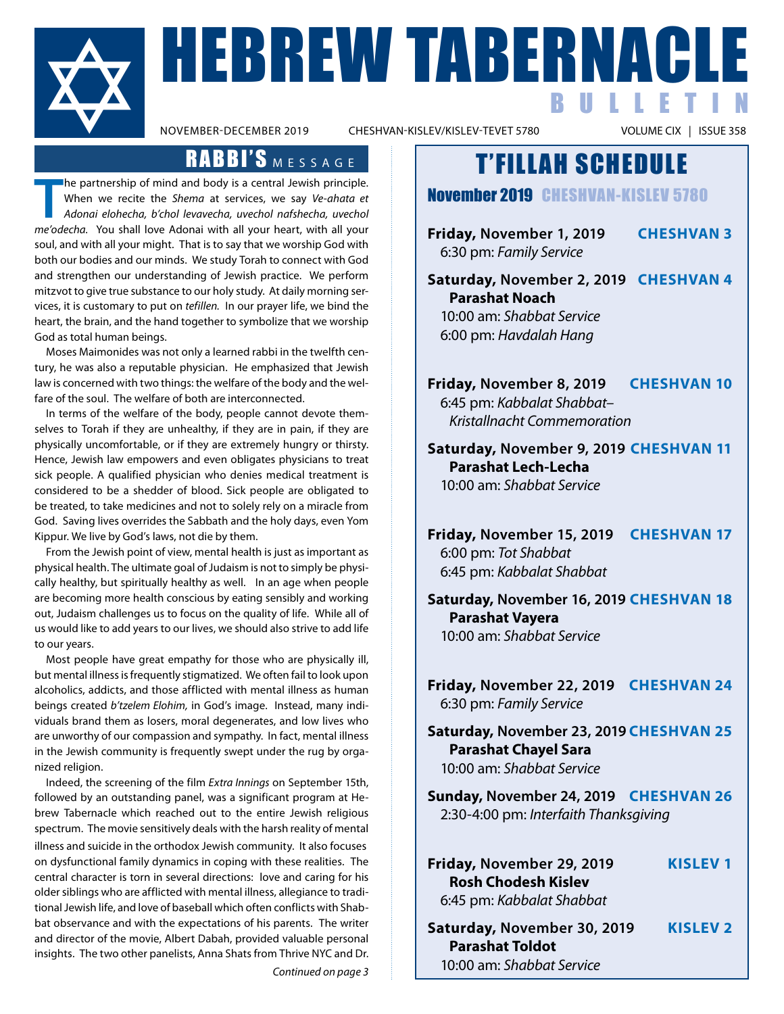

NABERNACLE BULLETIN

CHESHVAN-KISLEV/KISLEV-TEVET 5780

### RABBI'S MESSAGE

**The partnership of mind and body is a central Jewish principle.**<br>
When we recite the *Shema* at services, we say *Ve-ahata et*<br> *Adonai elohecha, b'chol levavecha, uvechol nafshecha, uvechol me'odecha.* You shall love Ado he partnership of mind and body is a central Jewish principle. When we recite the *Shema* at services, we say *Ve-ahata et Adonai elohecha, b'chol levavecha, uvechol nafshecha, uvechol*  soul, and with all your might. That is to say that we worship God with both our bodies and our minds. We study Torah to connect with God and strengthen our understanding of Jewish practice. We perform mitzvot to give true substance to our holy study. At daily morning services, it is customary to put on *tefillen.* In our prayer life, we bind the heart, the brain, and the hand together to symbolize that we worship God as total human beings.

 Moses Maimonides was not only a learned rabbi in the twelfth century, he was also a reputable physician. He emphasized that Jewish law is concerned with two things: the welfare of the body and the welfare of the soul. The welfare of both are interconnected.

 In terms of the welfare of the body, people cannot devote themselves to Torah if they are unhealthy, if they are in pain, if they are physically uncomfortable, or if they are extremely hungry or thirsty. Hence, Jewish law empowers and even obligates physicians to treat sick people. A qualified physician who denies medical treatment is considered to be a shedder of blood. Sick people are obligated to be treated, to take medicines and not to solely rely on a miracle from God. Saving lives overrides the Sabbath and the holy days, even Yom Kippur. We live by God's laws, not die by them.

From the Jewish point of view, mental health is just as important as physical health. The ultimate goal of Judaism is not to simply be physically healthy, but spiritually healthy as well. In an age when people are becoming more health conscious by eating sensibly and working out, Judaism challenges us to focus on the quality of life. While all of us would like to add years to our lives, we should also strive to add life to our years.

 Most people have great empathy for those who are physically ill, but mental illness is frequently stigmatized. We often fail to look upon alcoholics, addicts, and those afflicted with mental illness as human beings created *b'tzelem Elohim,* in God's image. Instead, many individuals brand them as losers, moral degenerates, and low lives who are unworthy of our compassion and sympathy. In fact, mental illness in the Jewish community is frequently swept under the rug by organized religion.

 Indeed, the screening of the film *Extra Innings* on September 15th, followed by an outstanding panel, was a significant program at Hebrew Tabernacle which reached out to the entire Jewish religious spectrum. The movie sensitively deals with the harsh reality of mental illness and suicide in the orthodox Jewish community. It also focuses on dysfunctional family dynamics in coping with these realities. The central character is torn in several directions: love and caring for his older siblings who are afflicted with mental illness, allegiance to traditional Jewish life, and love of baseball which often conflicts with Shabbat observance and with the expectations of his parents. The writer and director of the movie, Albert Dabah, provided valuable personal insights. The two other panelists, Anna Shats from Thrive NYC and Dr.

*Continued on page 3*

## T'FILLAH SCHEDULE

November 2019 cheshvan-Kislev 5780

**Friday, November 1, 2019 Cheshvan 3** 6:30 pm: *Family Service*

 **Saturday, November 2, 2019 Cheshvan 4 Parashat Noach** 10:00 am: *Shabbat Service* 6:00 pm: *Havdalah Hang*

**Friday, November 8, 2019 Cheshvan 10** 6:45 pm: *Kabbalat Shabbat– Kristallnacht Commemoration*

 **Saturday, November 9, 2019 Cheshvan 11 Parashat Lech-Lecha** 10:00 am: *Shabbat Service*

**Friday, November 15, 2019 Cheshvan 17** 6:00 pm: *Tot Shabbat* 6:45 pm: *Kabbalat Shabbat*

 **Saturday, November 16, 2019 Cheshvan 18 Parashat Vayera** 10:00 am: *Shabbat Service*

**Friday, November 22, 2019 Cheshvan 24** 6:30 pm: *Family Service*

 **Saturday, November 23, 2019 Cheshvan 25 Parashat Chayel Sara** 10:00 am: *Shabbat Service*

 **Sunday, November 24, 2019 Cheshvan 26** 2:30-4:00 pm: *Interfaith Thanksgiving*

| Friday, November 29, 2019  | <b>KISLEV 1</b> |
|----------------------------|-----------------|
| <b>Rosh Chodesh Kislev</b> |                 |
| 6:45 pm: Kabbalat Shabbat  |                 |
|                            |                 |

 **Saturday, November 30, 2019 Kislev 2 Parashat Toldot** 10:00 am: *Shabbat Service*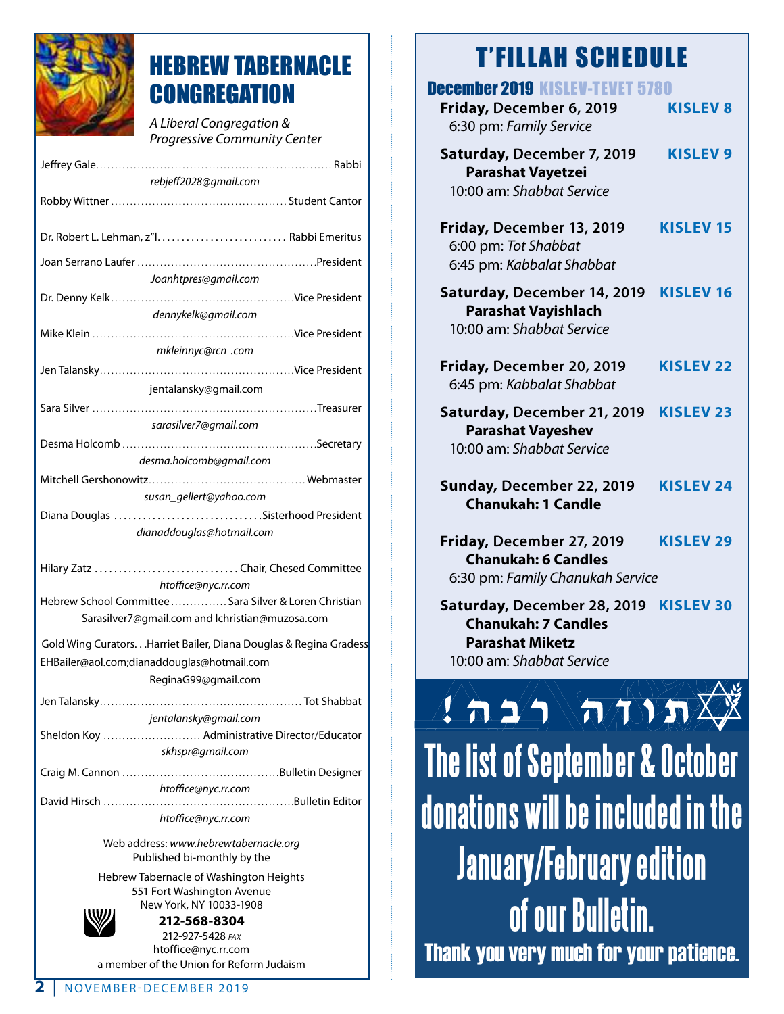

# HEBREW TABERNACLE **CONGREGATION**

*A Liberal Congregation & Progressive Community Center*

| rebjeff2028@gmail.com                                                                                                                   |  |  |
|-----------------------------------------------------------------------------------------------------------------------------------------|--|--|
|                                                                                                                                         |  |  |
|                                                                                                                                         |  |  |
|                                                                                                                                         |  |  |
| Joanhtpres@gmail.com                                                                                                                    |  |  |
|                                                                                                                                         |  |  |
| dennykelk@gmail.com                                                                                                                     |  |  |
|                                                                                                                                         |  |  |
| mkleinnyc@rcn .com                                                                                                                      |  |  |
|                                                                                                                                         |  |  |
| jentalansky@gmail.com                                                                                                                   |  |  |
| sarasilver7@gmail.com                                                                                                                   |  |  |
|                                                                                                                                         |  |  |
| desma.holcomb@gmail.com                                                                                                                 |  |  |
|                                                                                                                                         |  |  |
| susan_gellert@yahoo.com                                                                                                                 |  |  |
| Diana Douglas Sisterhood President                                                                                                      |  |  |
| dianaddouglas@hotmail.com                                                                                                               |  |  |
| Hilary Zatz  Chair, Chesed Committee<br>htoffice@nyc.rr.com                                                                             |  |  |
| Hebrew School Committee  Sara Silver & Loren Christian<br>Sarasilver7@gmail.com and lchristian@muzosa.com                               |  |  |
| Gold Wing Curators. Harriet Bailer, Diana Douglas & Regina Gradess<br>EHBailer@aol.com;dianaddouglas@hotmail.com<br>ReginaG99@gmail.com |  |  |
|                                                                                                                                         |  |  |
| jentalansky@gmail.com                                                                                                                   |  |  |
| Sheldon Koy  Administrative Director/Educator                                                                                           |  |  |
| skhspr@gmail.com                                                                                                                        |  |  |
|                                                                                                                                         |  |  |
| htoffice@nyc.rr.com                                                                                                                     |  |  |
| David Hirsch                                                                                                                            |  |  |
| htoffice@nyc.rr.com                                                                                                                     |  |  |
| Web address: www.hebrewtabernacle.org                                                                                                   |  |  |

Web address: *www.hebrewtabernacle.org* Published bi-monthly by the

Hebrew Tabernacle of Washington Heights 551 Fort Washington Avenue New York, NY 10033-1908



**212-568-8304** 212-927-5428 *fax* htoffice@nyc.rr.com a member of the Union for Reform Judaism

| <b>December 2019 KISLEV-TEVET 5780</b><br>Friday, December 6, 2019                                        | <b>KISLEV 8</b>  |  |  |
|-----------------------------------------------------------------------------------------------------------|------------------|--|--|
| 6:30 pm: Family Service<br>Saturday, December 7, 2019                                                     | <b>KISLEV 9</b>  |  |  |
| Parashat Vayetzei<br>10:00 am: Shabbat Service                                                            |                  |  |  |
| Friday, December 13, 2019<br>6:00 pm: Tot Shabbat<br>6:45 pm: Kabbalat Shabbat                            | <b>KISLEV 15</b> |  |  |
| Saturday, December 14, 2019<br><b>Parashat Vayishlach</b><br>10:00 am: Shabbat Service                    | <b>KISLEV 16</b> |  |  |
| Friday, December 20, 2019<br>6:45 pm: Kabbalat Shabbat                                                    | <b>KISLEV 22</b> |  |  |
| Saturday, December 21, 2019<br><b>Parashat Vayeshev</b><br>10:00 am: Shabbat Service                      | <b>KISLEV 23</b> |  |  |
| Sunday, December 22, 2019<br><b>Chanukah: 1 Candle</b>                                                    | <b>KISLEV 24</b> |  |  |
| Friday, December 27, 2019<br><b>Chanukah: 6 Candles</b><br>6:30 pm: Family Chanukah Service               | <b>KISLEV 29</b> |  |  |
| Saturday, December 28, 2019<br><b>Chanukah: 7 Candles</b><br>arashat Miketz'<br>10:00 am: Shabbat Service | <b>KISLEV 30</b> |  |  |
| $\mathbf{1}$ and $\mathbf{1}$ and $\mathbf{1}$                                                            |                  |  |  |
| The list of September & October                                                                           |                  |  |  |
| donations will be included in the                                                                         |                  |  |  |
|                                                                                                           |                  |  |  |

**The list of September & October donations will be included in the January/February edition of our Bulletin.** Thank you very much for your patience.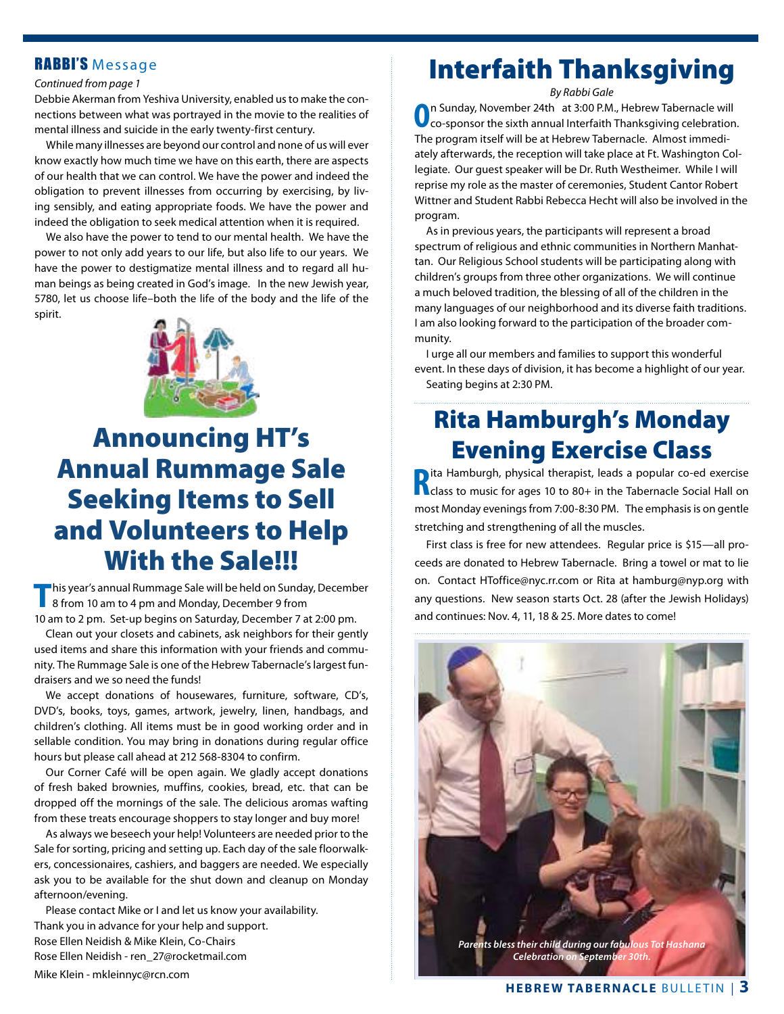#### RABBI'S Message

#### *Continued from page 1*

Debbie Akerman from Yeshiva University, enabled us to make the connections between what was portrayed in the movie to the realities of mental illness and suicide in the early twenty-first century.

While many illnesses are beyond our control and none of us will ever know exactly how much time we have on this earth, there are aspects of our health that we can control. We have the power and indeed the obligation to prevent illnesses from occurring by exercising, by living sensibly, and eating appropriate foods. We have the power and indeed the obligation to seek medical attention when it is required.

We also have the power to tend to our mental health. We have the power to not only add years to our life, but also life to our years. We have the power to destigmatize mental illness and to regard all human beings as being created in God's image. In the new Jewish year, 5780, let us choose life–both the life of the body and the life of the spirit.



# Announcing HT's Annual Rummage Sale Seeking Items to Sell and Volunteers to Help With the Sale!!!

**T**his year's annual Rummage Sale will be held on Sunday, December 8 from 10 am to 4 pm and Monday, December 9 from 10 am to 2 pm. Set-up begins on Saturday, December 7 at 2:00 pm.

 Clean out your closets and cabinets, ask neighbors for their gently used items and share this information with your friends and community. The Rummage Sale is one of the Hebrew Tabernacle's largest fundraisers and we so need the funds!

We accept donations of housewares, furniture, software, CD's, DVD's, books, toys, games, artwork, jewelry, linen, handbags, and children's clothing. All items must be in good working order and in sellable condition. You may bring in donations during regular office hours but please call ahead at 212 568-8304 to confirm.

 Our Corner Café will be open again. We gladly accept donations of fresh baked brownies, muffins, cookies, bread, etc. that can be dropped off the mornings of the sale. The delicious aromas wafting from these treats encourage shoppers to stay longer and buy more!

 As always we beseech your help! Volunteers are needed prior to the Sale for sorting, pricing and setting up. Each day of the sale floorwalkers, concessionaires, cashiers, and baggers are needed. We especially ask you to be available for the shut down and cleanup on Monday afternoon/evening.

Please contact Mike or I and let us know your availability. Thank you in advance for your help and support. Rose Ellen Neidish & Mike Klein, Co-Chairs Rose Ellen Neidish - ren\_27@rocketmail.com

Mike Klein - mkleinnyc@rcn.com

# Interfaith Thanksgiving

*By Rabbi Gale*

**O**n Sunday, November 24th at 3:00 P.M., Hebrew Tabernacle will co-sponsor the sixth annual Interfaith Thanksgiving celebration. The program itself will be at Hebrew Tabernacle. Almost immediately afterwards, the reception will take place at Ft. Washington Collegiate. Our guest speaker will be Dr. Ruth Westheimer. While I will reprise my role as the master of ceremonies, Student Cantor Robert Wittner and Student Rabbi Rebecca Hecht will also be involved in the program.

 As in previous years, the participants will represent a broad spectrum of religious and ethnic communities in Northern Manhattan. Our Religious School students will be participating along with children's groups from three other organizations. We will continue a much beloved tradition, the blessing of all of the children in the many languages of our neighborhood and its diverse faith traditions. I am also looking forward to the participation of the broader community.

 I urge all our members and families to support this wonderful event. In these days of division, it has become a highlight of our year. Seating begins at 2:30 PM.

## Rita Hamburgh's Monday Evening Exercise Class

**R** a Hamburgh, physical therapist, leads a popular co-ed exercise<br> **R** class to music for ages 10 to 80+ in the Tabernacle Social Hall on ita Hamburgh, physical therapist, leads a popular co-ed exercise most Monday evenings from 7:00-8:30 PM. The emphasis is on gentle stretching and strengthening of all the muscles.

First class is free for new attendees. Regular price is \$15—all proceeds are donated to Hebrew Tabernacle. Bring a towel or mat to lie on. Contact HToffice@nyc.rr.com or Rita at hamburg@nyp.org with any questions. New season starts Oct. 28 (after the Jewish Holidays) and continues: Nov. 4, 11, 18 & 25. More dates to come!

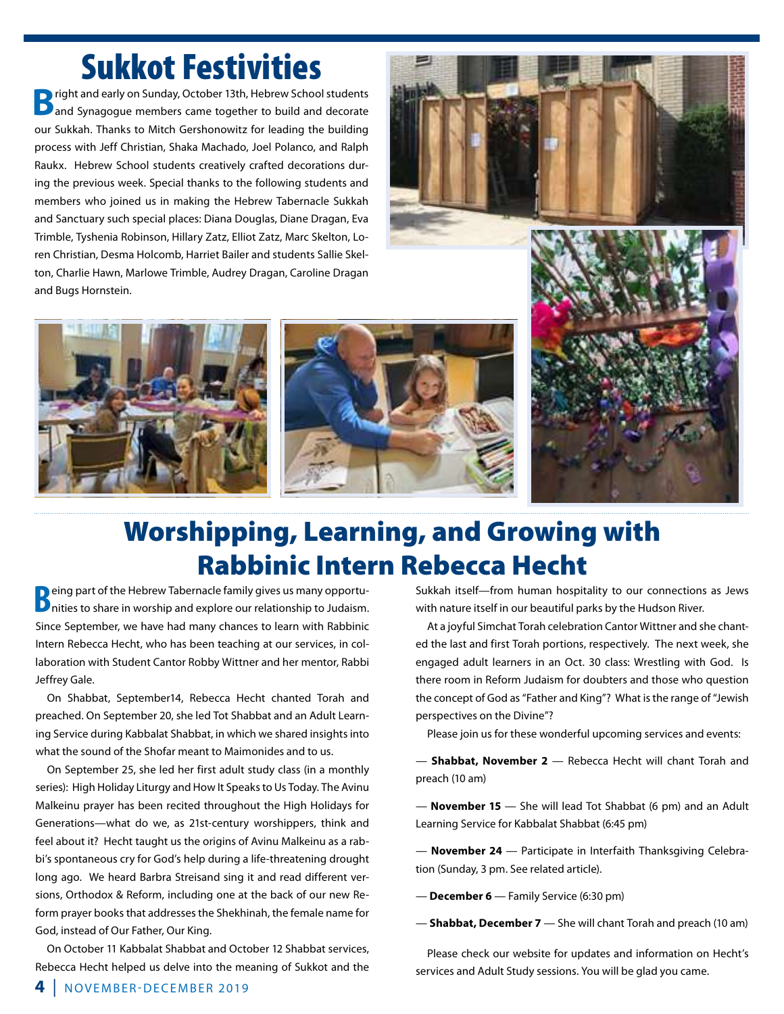# **Sukkot Festivities**

**B**right and early on Sunday, October 13th, Hebrew School students<br>and Synagogue members came together to build and decorate our Sukkah. Thanks to Mitch Gershonowitz for leading the building process with Jeff Christian, Shaka Machado, Joel Polanco, and Ralph Raukx. Hebrew School students creatively crafted decorations during the previous week. Special thanks to the following students and members who joined us in making the Hebrew Tabernacle Sukkah and Sanctuary such special places: Diana Douglas, Diane Dragan, Eva Trimble, Tyshenia Robinson, Hillary Zatz, Elliot Zatz, Marc Skelton, Loren Christian, Desma Holcomb, Harriet Bailer and students Sallie Skelton, Charlie Hawn, Marlowe Trimble, Audrey Dragan, Caroline Dragan and Bugs Hornstein.









# Worshipping, Learning, and Growing with Rabbinic Intern Rebecca Hecht

**B**eing part of the Hebrew Tabernacle family gives us many opportunities to share in worship and explore our relationship to Judaism. Since September, we have had many chances to learn with Rabbinic Intern Rebecca Hecht, who has been teaching at our services, in collaboration with Student Cantor Robby Wittner and her mentor, Rabbi Jeffrey Gale.

 On Shabbat, September14, Rebecca Hecht chanted Torah and preached. On September 20, she led Tot Shabbat and an Adult Learning Service during Kabbalat Shabbat, in which we shared insights into what the sound of the Shofar meant to Maimonides and to us.

 On September 25, she led her first adult study class (in a monthly series): High Holiday Liturgy and How It Speaks to Us Today. The Avinu Malkeinu prayer has been recited throughout the High Holidays for Generations—what do we, as 21st-century worshippers, think and feel about it? Hecht taught us the origins of Avinu Malkeinu as a rabbi's spontaneous cry for God's help during a life-threatening drought long ago. We heard Barbra Streisand sing it and read different versions, Orthodox & Reform, including one at the back of our new Reform prayer books that addresses the Shekhinah, the female name for God, instead of Our Father, Our King.

 On October 11 Kabbalat Shabbat and October 12 Shabbat services, Rebecca Hecht helped us delve into the meaning of Sukkot and the Sukkah itself—from human hospitality to our connections as Jews with nature itself in our beautiful parks by the Hudson River.

 At a joyful Simchat Torah celebration Cantor Wittner and she chanted the last and first Torah portions, respectively. The next week, she engaged adult learners in an Oct. 30 class: Wrestling with God. Is there room in Reform Judaism for doubters and those who question the concept of God as "Father and King"? What is the range of "Jewish perspectives on the Divine"?

Please join us for these wonderful upcoming services and events:

— **Shabbat, November 2** — Rebecca Hecht will chant Torah and preach (10 am)

— **November 15** — She will lead Tot Shabbat (6 pm) and an Adult Learning Service for Kabbalat Shabbat (6:45 pm)

— **November 24** — Participate in Interfaith Thanksgiving Celebration (Sunday, 3 pm. See related article).

— **December 6** — Family Service (6:30 pm)

— **Shabbat, December 7** — She will chant Torah and preach (10 am)

Please check our website for updates and information on Hecht's services and Adult Study sessions. You will be glad you came.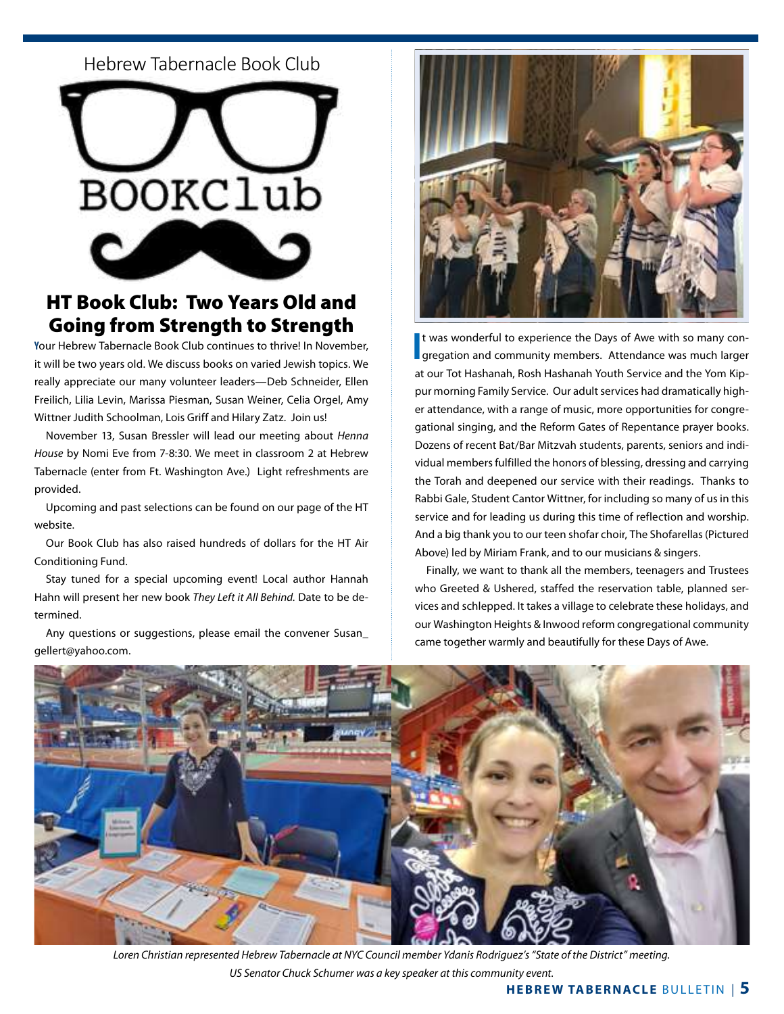Hebrew Tabernacle Book Club Hebrew Tabernacle Book Club



### **HT Book Club: Two Years Old and** Going from Strength to Strength

 $\mathcal{M}$  in Classroom 2. it will be two years old. We discuss books on varied Jewish topics. We really appreciate our many volunteer leaders-Deb Schneider, Ellen Freilich, Lilia Levin, Marissa Piesman, Susan Weiner, Celia Orgel, Amy Wittner Judith Schoolman, Lois Griff and Hilary Zatz. Join us! one hardware, one barber shop, one beauty parlor, one blacksmith, and many Christian churches. **Join us for the next meeting of the Hebrew Tabernacle Book Club, open to the community. Y**our Hebrew Tabernacle Book Club continues to thrive! In November,

November 13, Susan Bressler will lead our meeting about Henna small town America, the ubiquitous dry goods store--suits and coats, shoes and hats, work clothes and House by Nomi Eve from 7-8:30. We meet in classroom 2 at Hebrew Tabernacle (enter from Et Washington Ave.), Light refreshment Tabernacle (enter from Ft. Washington Ave.) Light refreshments are provided. Street, one one one bank, one feed and seed, one feed and seed, one feed and seed, one feed and seed, one feed and seed, one feed and seed, one feed and seed, one feed and seed, one feed and seed, one feed and se

one hardware, one barber shop, one beauty parlor, one blacksmith, and many Christian churches. Upcoming and past selections can be found on our page of the H website.

 Our Book Club has also raised hundreds of dollars for the HT Air Conditioning Fund.

 Stay tuned for a special upcoming event! Local author Hannah Hahn will present her new book *They Left it All Behind.* Date to be determined.

 Any questions or suggestions, please email the convener Susan\_ gellert@yahoo.com.



It was wonderful to experience the Days of Awe with so many con-<br>I gregation and community members. Attendance was much larger t was wonderful to experience the Days of Awe with so many conat our Tot Hashanah, Rosh Hashanah Youth Service and the Yom Kippur morning Family Service. Our adult services had dramatically higher attendance, with a range of music, more opportunities for congregational singing, and the Reform Gates of Repentance prayer books. Dozens of recent Bat/Bar Mitzvah students, parents, seniors and individual members fulfilled the honors of blessing, dressing and carrying the Torah and deepened our service with their readings. Thanks to Rabbi Gale, Student Cantor Wittner, for including so many of us in this service and for leading us during this time of reflection and worship. And a big thank you to our teen shofar choir, The Shofarellas (Pictured Above) led by Miriam Frank, and to our musicians & singers.

Finally, we want to thank all the members, teenagers and Trustees who Greeted & Ushered, staffed the reservation table, planned services and schlepped. It takes a village to celebrate these holidays, and our Washington Heights & Inwood reform congregational community came together warmly and beautifully for these Days of Awe.



*Loren Christian represented Hebrew Tabernacle at NYC Council member Ydanis Rodriguez's "State of the District" meeting. US Senator Chuck Schumer was a key speaker at this community event.*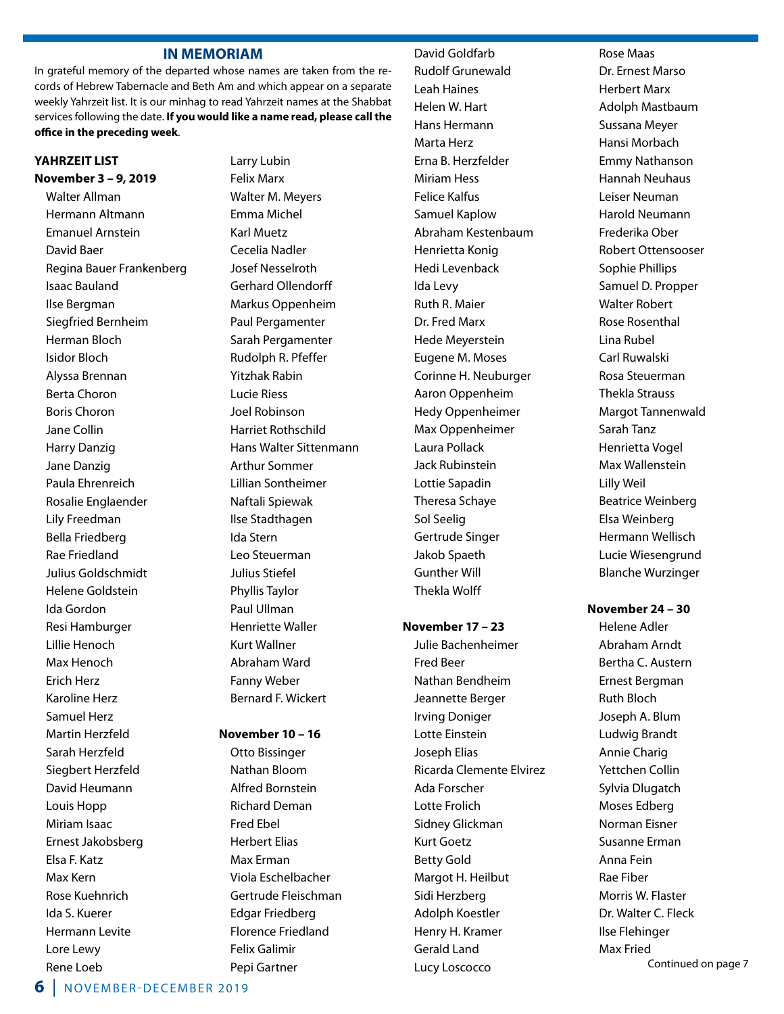#### **IN MEMORIAM**

In grateful memory of the departed whose names are taken from the records of Hebrew Tabernacle and Beth Am and which appear on a separate weekly Yahrzeit list. It is our minhag to read Yahrzeit names at the Shabbat services following the date. **If you would like a name read, please call the office in the preceding week**.

#### **YAHRZEIT LIST**

**November 3 – 9, 2019** Walter Allman Hermann Altmann Emanuel Arnstein David Baer Regina Bauer Frankenberg Isaac Bauland Ilse Bergman Siegfried Bernheim Herman Bloch Isidor Bloch Alyssa Brennan Berta Choron Boris Choron Jane Collin Harry Danzig Jane Danzig Paula Ehrenreich Rosalie Englaender Lily Freedman Bella Friedberg Rae Friedland Julius Goldschmidt Helene Goldstein Ida Gordon Resi Hamburger Lillie Henoch Max Henoch Erich Herz Karoline Herz Samuel Herz Martin Herzfeld Sarah Herzfeld Siegbert Herzfeld David Heumann Louis Hopp Miriam Isaac Ernest Jakobsberg Elsa F. Katz Max Kern Rose Kuehnrich Ida S. Kuerer Hermann Levite Lore Lewy Rene Loeb

 Larry Lubin Felix Marx Walter M. Meyers Emma Michel Karl Muetz Cecelia Nadler Josef Nesselroth Gerhard Ollendorff Markus Oppenheim Paul Pergamenter Sarah Pergamenter Rudolph R. Pfeffer Yitzhak Rabin Lucie Riess Joel Robinson Harriet Rothschild Hans Walter Sittenmann Arthur Sommer Lillian Sontheimer Naftali Spiewak Ilse Stadthagen Ida Stern Leo Steuerman Julius Stiefel Phyllis Taylor Paul Ullman Henriette Waller Kurt Wallner Abraham Ward Fanny Weber Bernard F. Wickert

#### **November 10 – 16**

 Otto Bissinger Nathan Bloom Alfred Bornstein Richard Deman Fred Ebel Herbert Elias Max Erman Viola Eschelbacher Gertrude Fleischman Edgar Friedberg Florence Friedland Felix Galimir Pepi Gartner

#### David Goldfarb

 Rudolf Grunewald Leah Haines Helen W. Hart Hans Hermann Marta Herz Erna B. Herzfelder Miriam Hess Felice Kalfus Samuel Kaplow Abraham Kestenbaum Henrietta Konig Hedi Levenback Ida Levy Ruth R. Maier Dr. Fred Marx Hede Meyerstein Eugene M. Moses Corinne H. Neuburger Aaron Oppenheim Hedy Oppenheimer Max Oppenheimer Laura Pollack Jack Rubinstein Lottie Sapadin Theresa Schaye Sol Seelig Gertrude Singer Jakob Spaeth Gunther Will Thekla Wolff

#### **November 17 – 23**

Julie Bachenheimer Fred Beer Nathan Bendheim Jeannette Berger Irving Doniger Lotte Einstein Joseph Elias Ricarda Clemente Elvirez Ada Forscher Lotte Frolich Sidney Glickman Kurt Goetz Betty Gold Margot H. Heilbut Sidi Herzberg Adolph Koestler Henry H. Kramer Gerald Land Lucy Loscocco

 Rose Maas Dr. Ernest Marso Herbert Marx Adolph Mastbaum Sussana Meyer Hansi Morbach Emmy Nathanson Hannah Neuhaus Leiser Neuman Harold Neumann Frederika Ober Robert Ottensooser Sophie Phillips Samuel D. Propper Walter Robert Rose Rosenthal Lina Rubel Carl Ruwalski Rosa Steuerman Thekla Strauss Margot Tannenwald Sarah Tanz Henrietta Vogel Max Wallenstein Lilly Weil Beatrice Weinberg Elsa Weinberg Hermann Wellisch Lucie Wiesengrund Blanche Wurzinger

#### **November 24 – 30**

 Helene Adler Abraham Arndt Bertha C. Austern Ernest Bergman Ruth Bloch Joseph A. Blum Ludwig Brandt Annie Charig Yettchen Collin Sylvia Dlugatch Moses Edberg Norman Eisner Susanne Erman Anna Fein Rae Fiber Morris W. Flaster Dr. Walter C. Fleck Ilse Flehinger Max Fried Continued on page 7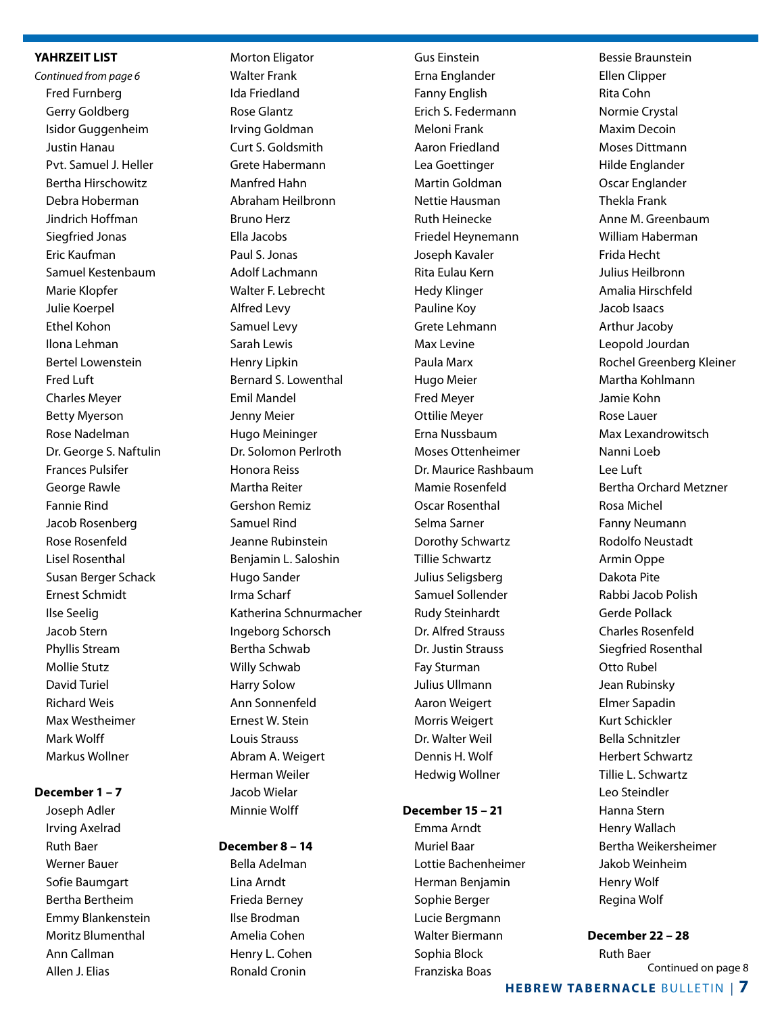#### **YAHRZEIT LIST**

*Continued from page 6* Fred Furnberg Gerry Goldberg Isidor Guggenheim Justin Hanau Pvt. Samuel J. Heller Bertha Hirschowitz Debra Hoberman Jindrich Hoffman Siegfried Jonas Eric Kaufman Samuel Kestenbaum Marie Klopfer Julie Koerpel Ethel Kohon Ilona Lehman Bertel Lowenstein Fred Luft Charles Meyer Betty Myerson Rose Nadelman Dr. George S. Naftulin Frances Pulsifer George Rawle Fannie Rind Jacob Rosenberg Rose Rosenfeld Lisel Rosenthal Susan Berger Schack Ernest Schmidt Ilse Seelig Jacob Stern Phyllis Stream Mollie Stutz David Turiel Richard Weis Max Westheimer Mark Wolff Markus Wollner

#### **December 1 – 7**

Joseph Adler Irving Axelrad Ruth Baer Werner Bauer Sofie Baumgart Bertha Bertheim Emmy Blankenstein Moritz Blumenthal Ann Callman Allen J. Elias

 Morton Eligator Walter Frank Ida Friedland Rose Glantz Irving Goldman Curt S. Goldsmith Grete Habermann Manfred Hahn Abraham Heilbronn Bruno Herz Ella Jacobs Paul S. Jonas Adolf Lachmann Walter F. Lebrecht Alfred Levy Samuel Levy Sarah Lewis Henry Lipkin Bernard S. Lowenthal Emil Mandel Jenny Meier Hugo Meininger Dr. Solomon Perlroth Honora Reiss Martha Reiter Gershon Remiz Samuel Rind Jeanne Rubinstein Benjamin L. Saloshin Hugo Sander Irma Scharf Katherina Schnurmacher Ingeborg Schorsch Bertha Schwab Willy Schwab Harry Solow Ann Sonnenfeld Ernest W. Stein Louis Strauss Abram A. Weigert Herman Weiler Jacob Wielar Minnie Wolff

#### **December 8 – 14**

 Bella Adelman Lina Arndt Frieda Berney Ilse Brodman Amelia Cohen Henry L. Cohen Ronald Cronin

Gus Einstein Erna Englander Fanny English Erich S. Federmann Meloni Frank Aaron Friedland Lea Goettinger Martin Goldman Nettie Hausman Ruth Heinecke Friedel Heynemann Joseph Kavaler Rita Eulau Kern Hedy Klinger Pauline Koy Grete Lehmann Max Levine Paula Marx Hugo Meier Fred Meyer Ottilie Meyer Erna Nussbaum Moses Ottenheimer Dr. Maurice Rashbaum Mamie Rosenfeld Oscar Rosenthal Selma Sarner Dorothy Schwartz Tillie Schwartz Julius Seligsberg Samuel Sollender Rudy Steinhardt Dr. Alfred Strauss Dr. Justin Strauss Fay Sturman Julius Ullmann Aaron Weigert Morris Weigert Dr. Walter Weil Dennis H. Wolf Hedwig Wollner

#### **December 15 – 21**

 Emma Arndt Muriel Baar Lottie Bachenheimer Herman Benjamin Sophie Berger Lucie Bergmann Walter Biermann Sophia Block Franziska Boas

 Bessie Braunstein Ellen Clipper Rita Cohn Normie Crystal Maxim Decoin Moses Dittmann Hilde Englander Oscar Englander Thekla Frank Anne M. Greenbaum William Haberman Frida Hecht Julius Heilbronn Amalia Hirschfeld Jacob Isaacs Arthur Jacoby Leopold Jourdan Rochel Greenberg Kleiner Martha Kohlmann Jamie Kohn Rose Lauer Max Lexandrowitsch Nanni Loeb Lee Luft Bertha Orchard Metzner Rosa Michel Fanny Neumann Rodolfo Neustadt Armin Oppe Dakota Pite Rabbi Jacob Polish Gerde Pollack Charles Rosenfeld Siegfried Rosenthal Otto Rubel Jean Rubinsky Elmer Sapadin Kurt Schickler Bella Schnitzler Herbert Schwartz Tillie L. Schwartz Leo Steindler Hanna Stern Henry Wallach Bertha Weikersheimer Jakob Weinheim Henry Wolf Regina Wolf

#### **December 22 – 28**

 Ruth Baer Continued on page 8

**HEBREW TABERNACLE BULLETIN | 7**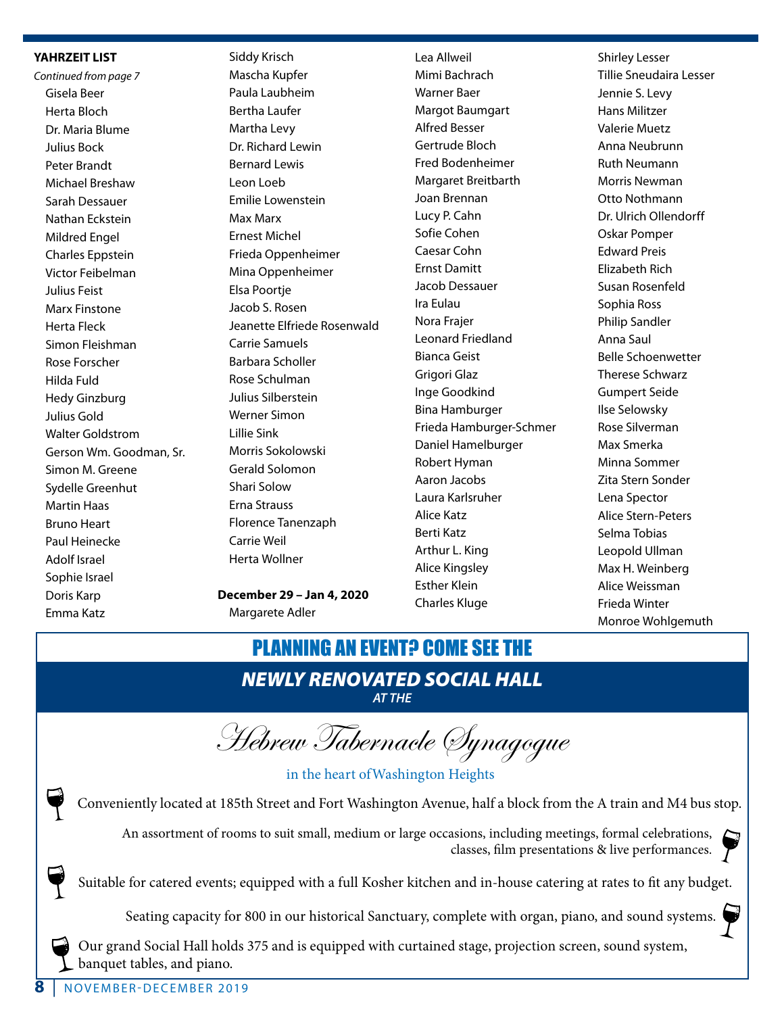#### **YAHRZEIT LIST**

*Continued from page 7* Gisela Beer Herta Bloch Dr. Maria Blume Julius Bock Peter Brandt Michael Breshaw Sarah Dessauer Nathan Eckstein Mildred Engel Charles Eppstein Victor Feibelman Julius Feist Marx Finstone Herta Fleck Simon Fleishman Rose Forscher Hilda Fuld Hedy Ginzburg Julius Gold Walter Goldstrom Gerson Wm. Goodman, Sr. Simon M. Greene Sydelle Greenhut Martin Haas Bruno Heart Paul Heinecke Adolf Israel Sophie Israel Doris Karp Emma Katz

 Siddy Krisch Mascha Kupfer Paula Laubheim Bertha Laufer Martha Levy Dr. Richard Lewin Bernard Lewis Leon Loeb Emilie Lowenstein Max Marx Ernest Michel Frieda Oppenheimer Mina Oppenheimer Elsa Poortje Jacob S. Rosen Jeanette Elfriede Rosenwald Carrie Samuels Barbara Scholler Rose Schulman Julius Silberstein Werner Simon Lillie Sink Morris Sokolowski Gerald Solomon Shari Solow Erna Strauss Florence Tanenzaph Carrie Weil Herta Wollner

**December 29 – Jan 4, 2020** Margarete Adler

 Lea Allweil Mimi Bachrach Warner Baer Margot Baumgart Alfred Besser Gertrude Bloch Fred Bodenheimer Margaret Breitbarth Joan Brennan Lucy P. Cahn Sofie Cohen Caesar Cohn Ernst Damitt Jacob Dessauer Ira Eulau Nora Frajer Leonard Friedland Bianca Geist Grigori Glaz Inge Goodkind Bina Hamburger Frieda Hamburger-Schmer Daniel Hamelburger Robert Hyman Aaron Jacobs Laura Karlsruher Alice Katz Berti Katz Arthur L. King Alice Kingsley Esther Klein Charles Kluge

 Shirley Lesser Tillie Sneudaira Lesser Jennie S. Levy Hans Militzer Valerie Muetz Anna Neubrunn Ruth Neumann Morris Newman Otto Nothmann Dr. Ulrich Ollendorff Oskar Pomper Edward Preis Elizabeth Rich Susan Rosenfeld Sophia Ross Philip Sandler Anna Saul Belle Schoenwetter Therese Schwarz Gumpert Seide Ilse Selowsky Rose Silverman Max Smerka Minna Sommer Zita Stern Sonder Lena Spector Alice Stern-Peters Selma Tobias Leopold Ullman Max H. Weinberg Alice Weissman Frieda Winter Monroe Wohlgemuth

# PLANNING AN EVENT? COME SEE THE

## *NEWLY RENOVATED SOCIAL HALL AT THE*

Hebrew Tabernacle Synagogue

in the heart ofWashington Heights

Conveniently located at 185th Street and Fort Washington Avenue, half a block from the A train and M4 bus stop.

An assortment of rooms to suit small, medium or large occasions, including meetings, formal celebrations, classes, film presentations & live performances.

Suitable for catered events; equipped with a full Kosher kitchen and in-house catering at rates to fit any budget.

Seating capacity for 800 in our historical Sanctuary, complete with organ, piano, and sound systems.

Our grand Social Hall holds 375 and is equipped with curtained stage, projection screen, sound system, banquet tables, and piano.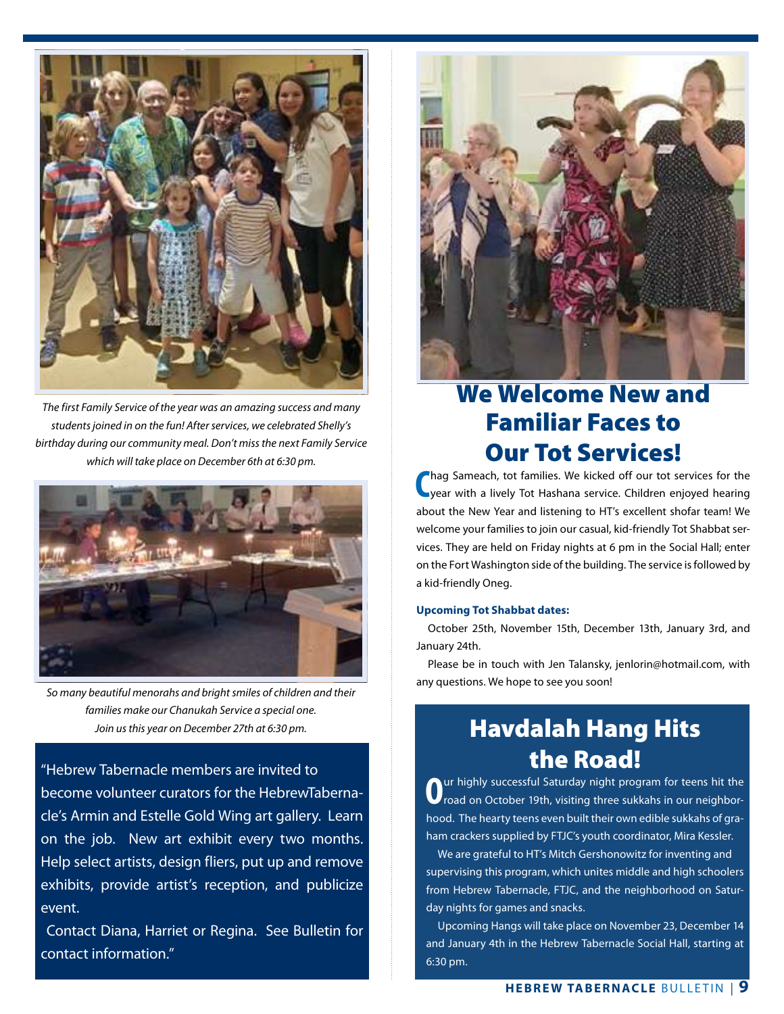

*The first Family Service of the year was an amazing success and many students joined in on the fun! After services, we celebrated Shelly's birthday during our community meal. Don't miss the next Family Service which will take place on December 6th at 6:30 pm.*



*So many beautiful menorahs and bright smiles of children and their families make our Chanukah Service a special one. Join us this year on December 27th at 6:30 pm.*

"Hebrew Tabernacle members are invited to become volunteer curators for the HebrewTabernacle's Armin and Estelle Gold Wing art gallery. Learn on the job. New art exhibit every two months. Help select artists, design fliers, put up and remove exhibits, provide artist's reception, and publicize event.

 Contact Diana, Harriet or Regina. See Bulletin for contact information."



# We Welcome New and Familiar Faces to Our Tot Services!

**C** hag Sameach, tot families. We kicked off our tot services for the year with a lively Tot Hashana service. Children enjoyed hearing about the New Year and listening to HT's excellent shofar team! We welcome your families to join our casual, kid-friendly Tot Shabbat services. They are held on Friday nights at 6 pm in the Social Hall; enter on the Fort Washington side of the building. The service is followed by a kid-friendly Oneg.

#### **Upcoming Tot Shabbat dates:**

 October 25th, November 15th, December 13th, January 3rd, and January 24th.

Please be in touch with Jen Talansky, jenlorin@hotmail.com, with any questions. We hope to see you soon!

### Havdalah Hang Hits the Road!

**O**ur highly successful Saturday night program for teens hit the road on October 19th, visiting three sukkahs in our neighborhood. The hearty teens even built their own edible sukkahs of graham crackers supplied by FTJC's youth coordinator, Mira Kessler.

We are grateful to HT's Mitch Gershonowitz for inventing and supervising this program, which unites middle and high schoolers from Hebrew Tabernacle, FTJC, and the neighborhood on Saturday nights for games and snacks.

Upcoming Hangs will take place on November 23, December 14 and January 4th in the Hebrew Tabernacle Social Hall, starting at 6:30 pm.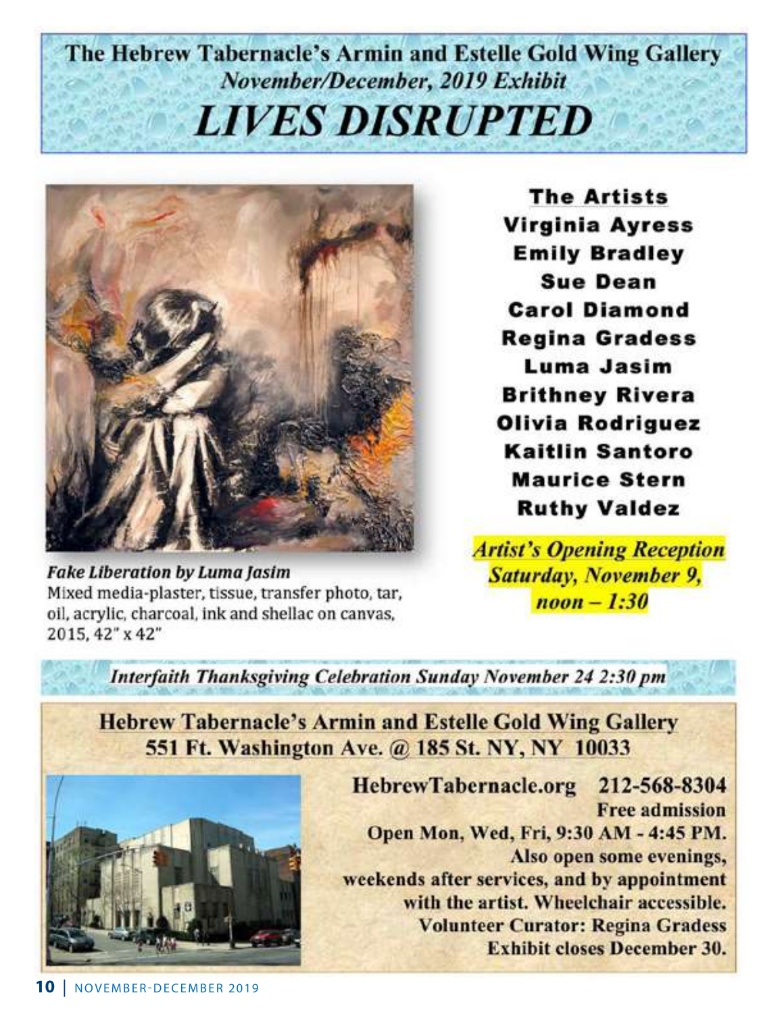# The Hebrew Tabernacle's Armin and Estelle Gold Wing Gallery November/December, 2019 Exhibit **LIVES DISRUPTED**



**Fake Liberation by Luma Jasim** Mixed media-plaster, tissue, transfer photo, tar, oil, acrylic, charcoal, ink and shellac on canvas, 2015, 42" x 42"

**The Artists Virginia Ayress Emily Bradley Sue Dean Carol Diamond Regina Gradess** Luma Jasim **Brithney Rivera Olivia Rodriguez Kaitlin Santoro Maurice Stern Ruthy Valdez** 

**Artist's Opening Reception Saturday, November 9,** *noon* $$-1:30$$ 

Interfaith Thanksgiving Celebration Sunday November 24 2:30 pm

**Hebrew Tabernacle's Armin and Estelle Gold Wing Gallery** 551 Ft. Washington Ave. @ 185 St. NY, NY 10033



HebrewTabernacle.org 212-568-8304 **Free admission** Open Mon, Wed, Fri, 9:30 AM - 4:45 PM. Also open some evenings, weekends after services, and by appointment with the artist. Wheelchair accessible. **Volunteer Curator: Regina Gradess Exhibit closes December 30.**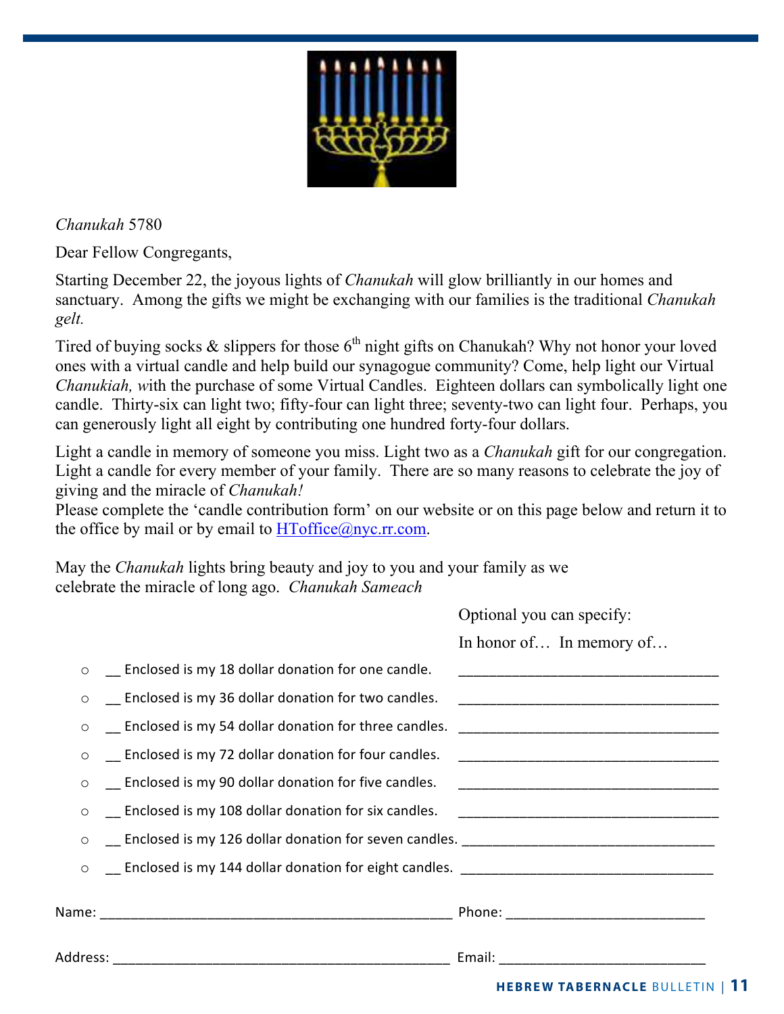

*Chanukah* 5780

Dear Fellow Congregants,

Starting December 22, the joyous lights of *Chanukah* will glow brilliantly in our homes and sanctuary. Among the gifts we might be exchanging with our families is the traditional *Chanukah gelt.*

Tired of buying socks  $\&$  slippers for those  $6<sup>th</sup>$  night gifts on Chanukah? Why not honor your loved ones with a virtual candle and help build our synagogue community? Come, help light our Virtual *Chanukiah, w*ith the purchase of some Virtual Candles. Eighteen dollars can symbolically light one candle. Thirty-six can light two; fifty-four can light three; seventy-two can light four. Perhaps, you can generously light all eight by contributing one hundred forty-four dollars.

Light a candle in memory of someone you miss. Light two as a *Chanukah* gift for our congregation. Light a candle for every member of your family. There are so many reasons to celebrate the joy of giving and the miracle of *Chanukah!*

Please complete the 'candle contribution form' on our website or on this page below and return it to the office by mail or by email to  $HT<sub>o</sub>ffic<sub>e</sub>(a)$ nyc.rr.com.

May the *Chanukah* lights bring beauty and joy to you and your family as we celebrate the miracle of long ago. *Chanukah Sameach*

|         |                                                                                                               | $\sigma$                                                                                                              |
|---------|---------------------------------------------------------------------------------------------------------------|-----------------------------------------------------------------------------------------------------------------------|
|         |                                                                                                               | In honor of In memory of                                                                                              |
|         | $\circ$ _ Enclosed is my 18 dollar donation for one candle.                                                   | <u> 1989 - Johann John Stone, markin samani ya kutoka mwaka wa 1989 - Amerika mwaka wa 1989 - Amerika mwaka wa 19</u> |
| $\circ$ | Enclosed is my 36 dollar donation for two candles.                                                            |                                                                                                                       |
| $\circ$ |                                                                                                               |                                                                                                                       |
| $\circ$ | Enclosed is my 72 dollar donation for four candles.                                                           |                                                                                                                       |
| $\circ$ | Enclosed is my 90 dollar donation for five candles.                                                           |                                                                                                                       |
| $\circ$ | Enclosed is my 108 dollar donation for six candles.                                                           |                                                                                                                       |
|         | Land Enclosed is my 126 dollar donation for seven candles. 2001 Concentration Contains and Enclosed is my 126 |                                                                                                                       |
| $\circ$ |                                                                                                               |                                                                                                                       |
|         |                                                                                                               |                                                                                                                       |
|         |                                                                                                               |                                                                                                                       |
|         |                                                                                                               |                                                                                                                       |

Optional you can specify: